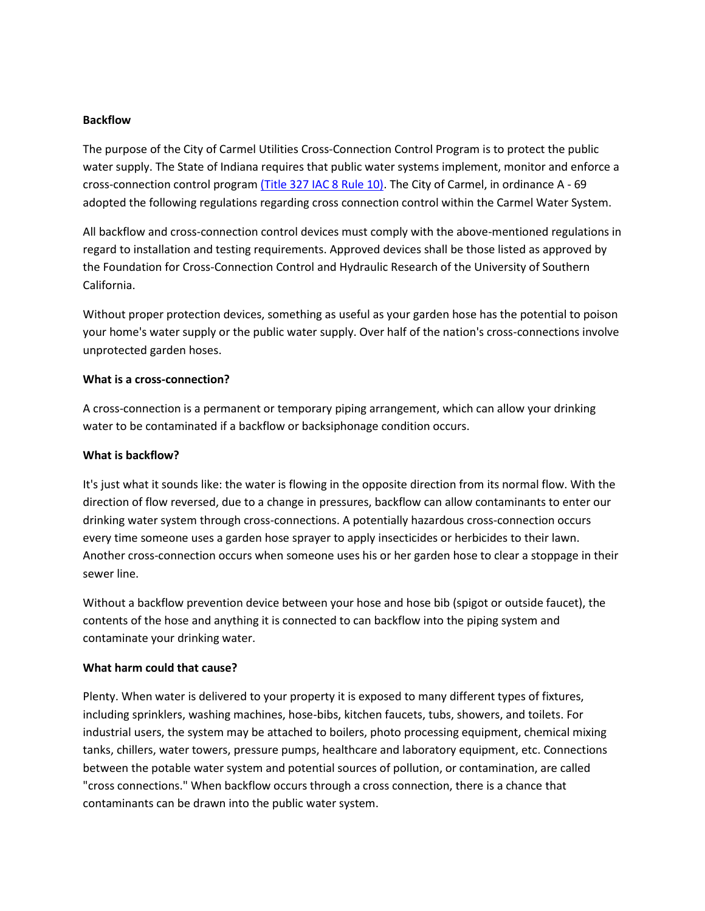## **Backflow**

The purpose of the City of Carmel Utilities Cross-Connection Control Program is to protect the public water supply. The State of Indiana requires that public water systems implement, monitor and enforce a cross-connection control program [\(Title 327 IAC 8 Rule 10\).](http://www.in.gov/legislative/iac/T03270/A00080.pdf) The City of Carmel, in ordinance A - 69 adopted the following regulations regarding cross connection control within the Carmel Water System.

All backflow and cross-connection control devices must comply with the above-mentioned regulations in regard to installation and testing requirements. Approved devices shall be those listed as approved by the Foundation for Cross-Connection Control and Hydraulic Research of the University of Southern California.

Without proper protection devices, something as useful as your garden hose has the potential to poison your home's water supply or the public water supply. Over half of the nation's cross-connections involve unprotected garden hoses.

#### **What is a cross-connection?**

A cross-connection is a permanent or temporary piping arrangement, which can allow your drinking water to be contaminated if a backflow or backsiphonage condition occurs.

#### **What is backflow?**

It's just what it sounds like: the water is flowing in the opposite direction from its normal flow. With the direction of flow reversed, due to a change in pressures, backflow can allow contaminants to enter our drinking water system through cross-connections. A potentially hazardous cross-connection occurs every time someone uses a garden hose sprayer to apply insecticides or herbicides to their lawn. Another cross-connection occurs when someone uses his or her garden hose to clear a stoppage in their sewer line.

Without a backflow prevention device between your hose and hose bib (spigot or outside faucet), the contents of the hose and anything it is connected to can backflow into the piping system and contaminate your drinking water.

## **What harm could that cause?**

Plenty. When water is delivered to your property it is exposed to many different types of fixtures, including sprinklers, washing machines, hose-bibs, kitchen faucets, tubs, showers, and toilets. For industrial users, the system may be attached to boilers, photo processing equipment, chemical mixing tanks, chillers, water towers, pressure pumps, healthcare and laboratory equipment, etc. Connections between the potable water system and potential sources of pollution, or contamination, are called "cross connections." When backflow occurs through a cross connection, there is a chance that contaminants can be drawn into the public water system.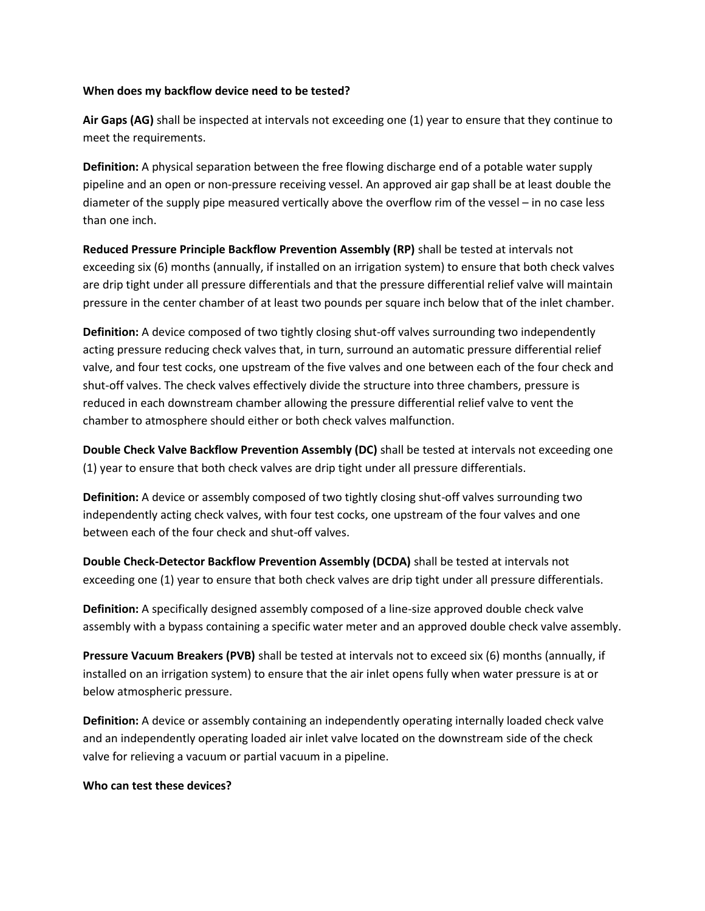#### **When does my backflow device need to be tested?**

**Air Gaps (AG)** shall be inspected at intervals not exceeding one (1) year to ensure that they continue to meet the requirements.

**Definition:** A physical separation between the free flowing discharge end of a potable water supply pipeline and an open or non-pressure receiving vessel. An approved air gap shall be at least double the diameter of the supply pipe measured vertically above the overflow rim of the vessel – in no case less than one inch.

**Reduced Pressure Principle Backflow Prevention Assembly (RP)** shall be tested at intervals not exceeding six (6) months (annually, if installed on an irrigation system) to ensure that both check valves are drip tight under all pressure differentials and that the pressure differential relief valve will maintain pressure in the center chamber of at least two pounds per square inch below that of the inlet chamber.

**Definition:** A device composed of two tightly closing shut-off valves surrounding two independently acting pressure reducing check valves that, in turn, surround an automatic pressure differential relief valve, and four test cocks, one upstream of the five valves and one between each of the four check and shut-off valves. The check valves effectively divide the structure into three chambers, pressure is reduced in each downstream chamber allowing the pressure differential relief valve to vent the chamber to atmosphere should either or both check valves malfunction.

**Double Check Valve Backflow Prevention Assembly (DC)** shall be tested at intervals not exceeding one (1) year to ensure that both check valves are drip tight under all pressure differentials.

**Definition:** A device or assembly composed of two tightly closing shut-off valves surrounding two independently acting check valves, with four test cocks, one upstream of the four valves and one between each of the four check and shut-off valves.

**Double Check-Detector Backflow Prevention Assembly (DCDA)** shall be tested at intervals not exceeding one (1) year to ensure that both check valves are drip tight under all pressure differentials.

**Definition:** A specifically designed assembly composed of a line-size approved double check valve assembly with a bypass containing a specific water meter and an approved double check valve assembly.

**Pressure Vacuum Breakers (PVB)** shall be tested at intervals not to exceed six (6) months (annually, if installed on an irrigation system) to ensure that the air inlet opens fully when water pressure is at or below atmospheric pressure.

**Definition:** A device or assembly containing an independently operating internally loaded check valve and an independently operating loaded air inlet valve located on the downstream side of the check valve for relieving a vacuum or partial vacuum in a pipeline.

#### **Who can test these devices?**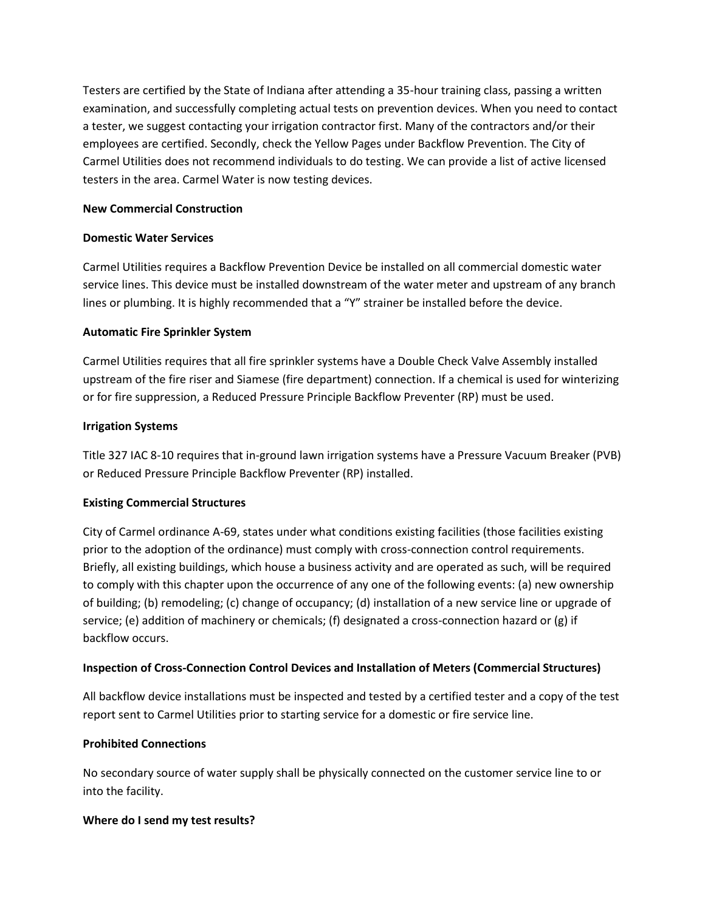Testers are certified by the State of Indiana after attending a 35-hour training class, passing a written examination, and successfully completing actual tests on prevention devices. When you need to contact a tester, we suggest contacting your irrigation contractor first. Many of the contractors and/or their employees are certified. Secondly, check the Yellow Pages under Backflow Prevention. The City of Carmel Utilities does not recommend individuals to do testing. We can provide a list of active licensed testers in the area. Carmel Water is now testing devices.

## **New Commercial Construction**

# **Domestic Water Services**

Carmel Utilities requires a Backflow Prevention Device be installed on all commercial domestic water service lines. This device must be installed downstream of the water meter and upstream of any branch lines or plumbing. It is highly recommended that a "Y" strainer be installed before the device.

# **Automatic Fire Sprinkler System**

Carmel Utilities requires that all fire sprinkler systems have a Double Check Valve Assembly installed upstream of the fire riser and Siamese (fire department) connection. If a chemical is used for winterizing or for fire suppression, a Reduced Pressure Principle Backflow Preventer (RP) must be used.

## **Irrigation Systems**

Title 327 IAC 8-10 requires that in-ground lawn irrigation systems have a Pressure Vacuum Breaker (PVB) or Reduced Pressure Principle Backflow Preventer (RP) installed.

## **Existing Commercial Structures**

City of Carmel ordinance A-69, states under what conditions existing facilities (those facilities existing prior to the adoption of the ordinance) must comply with cross-connection control requirements. Briefly, all existing buildings, which house a business activity and are operated as such, will be required to comply with this chapter upon the occurrence of any one of the following events: (a) new ownership of building; (b) remodeling; (c) change of occupancy; (d) installation of a new service line or upgrade of service; (e) addition of machinery or chemicals; (f) designated a cross-connection hazard or (g) if backflow occurs.

# **Inspection of Cross-Connection Control Devices and Installation of Meters (Commercial Structures)**

All backflow device installations must be inspected and tested by a certified tester and a copy of the test report sent to Carmel Utilities prior to starting service for a domestic or fire service line.

# **Prohibited Connections**

No secondary source of water supply shall be physically connected on the customer service line to or into the facility.

## **Where do I send my test results?**